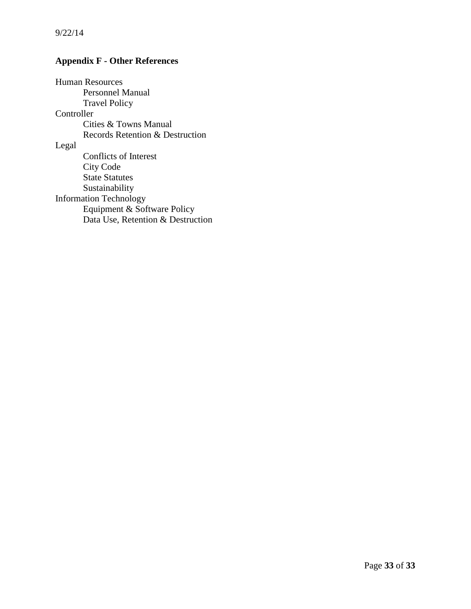# **Appendix F - Other References**

Human Resources Personnel Manual Travel Policy Controller Cities & Towns Manual Records Retention & Destruction Legal Conflicts of Interest City Code State Statutes Sustainability Information Technology Equipment & Software Policy Data Use, Retention & Destruction